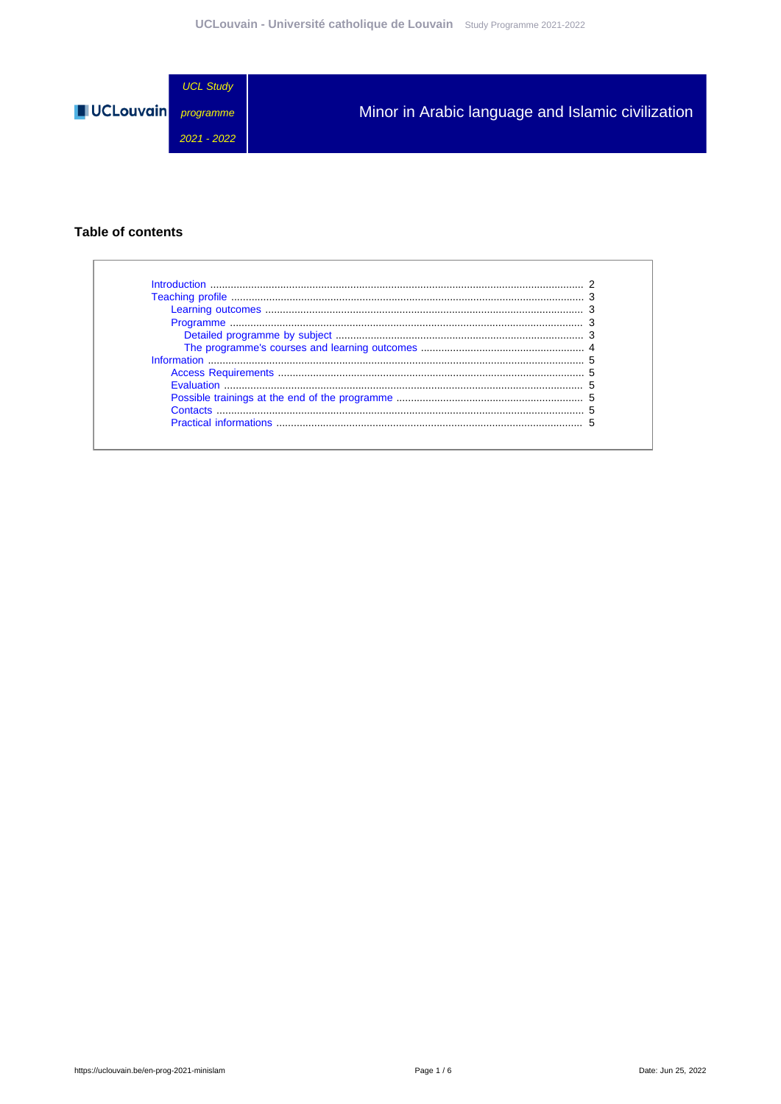

#### **Table of contents**

| Introduction           |  |
|------------------------|--|
|                        |  |
|                        |  |
|                        |  |
|                        |  |
|                        |  |
|                        |  |
|                        |  |
|                        |  |
|                        |  |
|                        |  |
| Practical informations |  |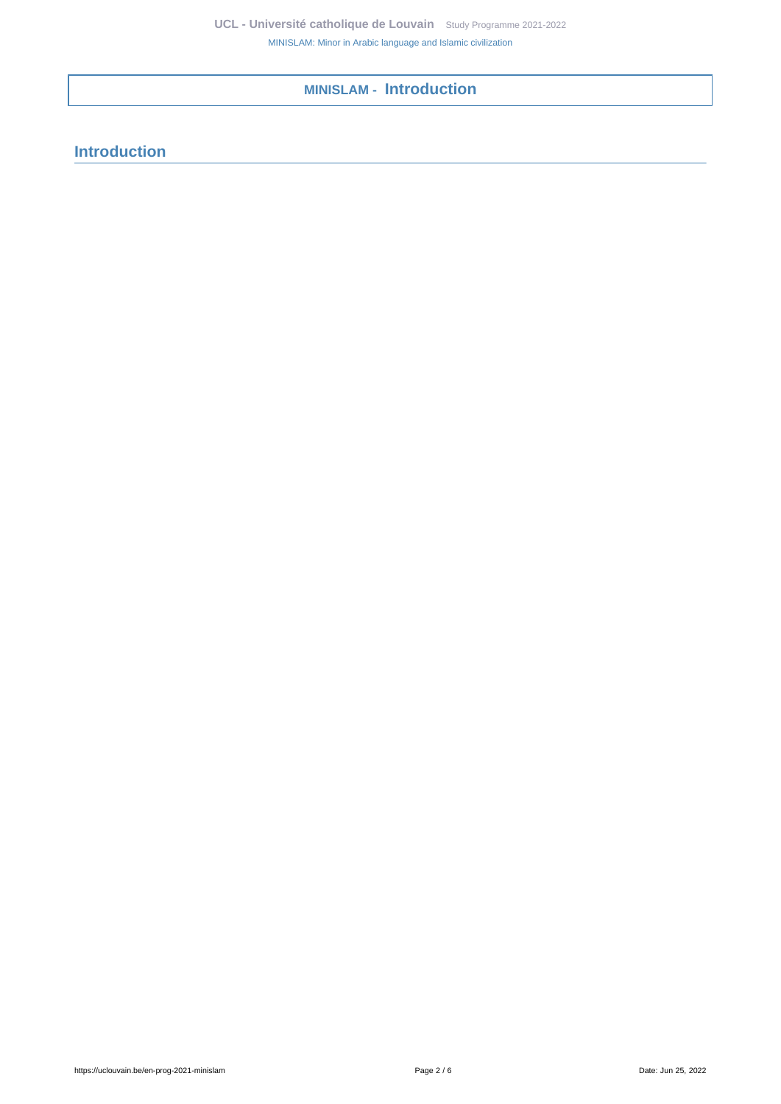**MINISLAM - Introduction**

# <span id="page-1-0"></span>**Introduction**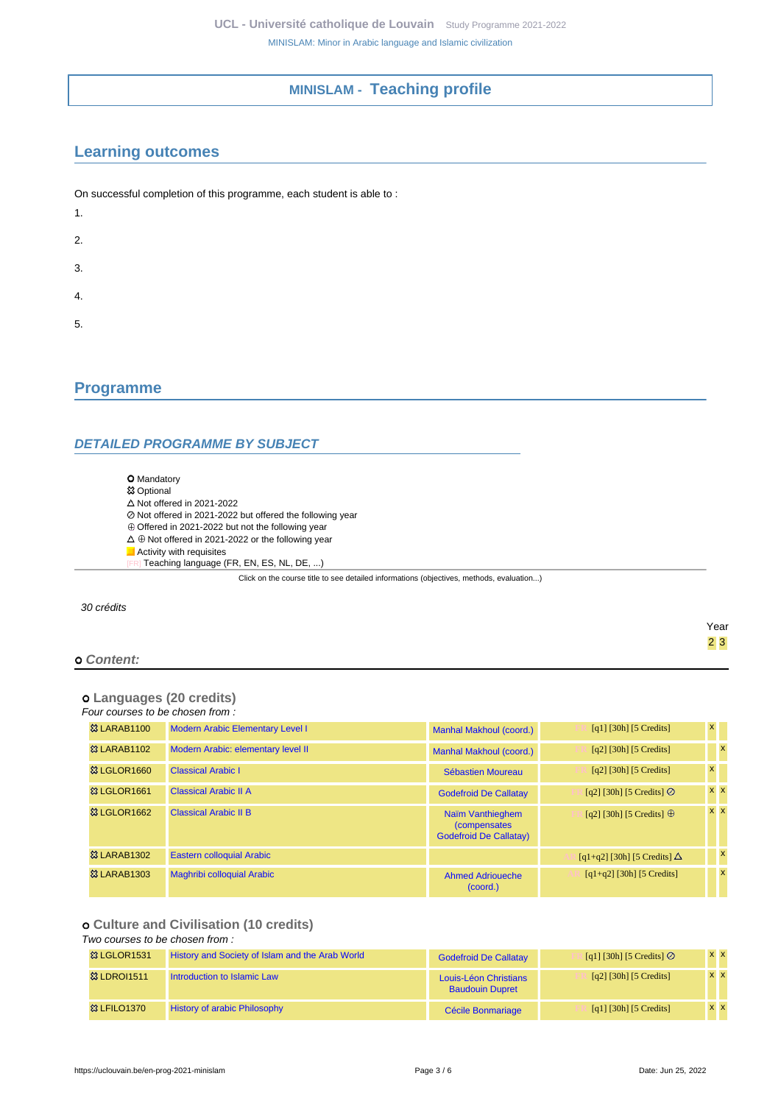### **MINISLAM - Teaching profile**

## <span id="page-2-1"></span><span id="page-2-0"></span>**Learning outcomes**

| On successful completion of this programme, each student is able to: |
|----------------------------------------------------------------------|
| 1.                                                                   |
| 2.                                                                   |
| 3.                                                                   |
| 4.                                                                   |
| 5.                                                                   |

### <span id="page-2-2"></span>**Programme**

#### <span id="page-2-3"></span>**DETAILED PROGRAMME BY SUBJECT**

**O** Mandatory

- **83 Optional**
- $\Delta$  Not offered in 2021-2022
- Not offered in 2021-2022 but offered the following year
- ⊕ Offered in 2021-2022 but not the following year
- $\Delta\,\oplus$  Not offered in 2021-2022 or the following year
- **Activity with requisites** 
	- Teaching language (FR, EN, ES, NL, DE, ...)

Click on the course title to see detailed informations (objectives, methods, evaluation...)

30 crédits

#### Year 2 3  **Content:**

# **Languages (20 credits)**

#### Four courses to be chosen from :

| <b>&amp; LARAB1100</b> | <b>Modern Arabic Elementary Level I</b> | Manhal Makhoul (coord.)                                                   | $\lceil q_1 \rceil \lceil 30h \rceil \lceil 5 \right]$ | $\mathsf{x}$ |              |
|------------------------|-----------------------------------------|---------------------------------------------------------------------------|--------------------------------------------------------|--------------|--------------|
| <b>&amp; LARAB1102</b> | Modern Arabic: elementary level II      | Manhal Makhoul (coord.)                                                   | $\lceil q^2 \rceil$ [30h] [5 Credits]                  |              | $\mathbf{x}$ |
| 33 LGLOR1660           | <b>Classical Arabic I</b>               | Sébastien Moureau                                                         | $\lceil q^2 \rceil$ [30h] [5 Credits]                  | $\mathsf{x}$ |              |
| 33 LGLOR1661           | <b>Classical Arabic II A</b>            | <b>Godefroid De Callatay</b>                                              | [q2] [30h] [5 Credits] $\oslash$                       |              | $x \mid x$   |
| 83 LGLOR1662           | <b>Classical Arabic II B</b>            | Naïm Vanthieghem<br><i>(compensates)</i><br><b>Godefroid De Callatay)</b> | [q2] [30h] [5 Credits] $\oplus$                        |              | $x \times$   |
| <b>&amp; LARAB1302</b> | <b>Eastern colloquial Arabic</b>        |                                                                           | [q1+q2] [30h] [5 Credits] $\Delta$                     |              | $\mathbf{x}$ |
| <b>&amp; LARAB1303</b> | <b>Maghribi colloquial Arabic</b>       | <b>Ahmed Adrioueche</b><br>(coord.)                                       | $[q1+q2]$ [30h] [5 Credits]                            |              | $\mathbf{x}$ |

#### **Culture and Civilisation (10 credits)**

#### Two courses to be chosen from :

| <b>&amp; LGLOR1531</b> | History and Society of Islam and the Arab World | <b>Godefroid De Callatay</b>                    | [q1] [30h] [5 Credits] $\oslash$ | <b>x x</b> |
|------------------------|-------------------------------------------------|-------------------------------------------------|----------------------------------|------------|
| <b>&amp; LDROI1511</b> | Introduction to Islamic Law                     | Louis-Léon Christians<br><b>Baudouin Dupret</b> | [q2] [30h] [5 Credits]           | $X$ $X$    |
| <b>83 LFILO1370</b>    | <b>History of arabic Philosophy</b>             | Cécile Bonmariage                               | [q1] [30h] [5 Credits]           | <b>x x</b> |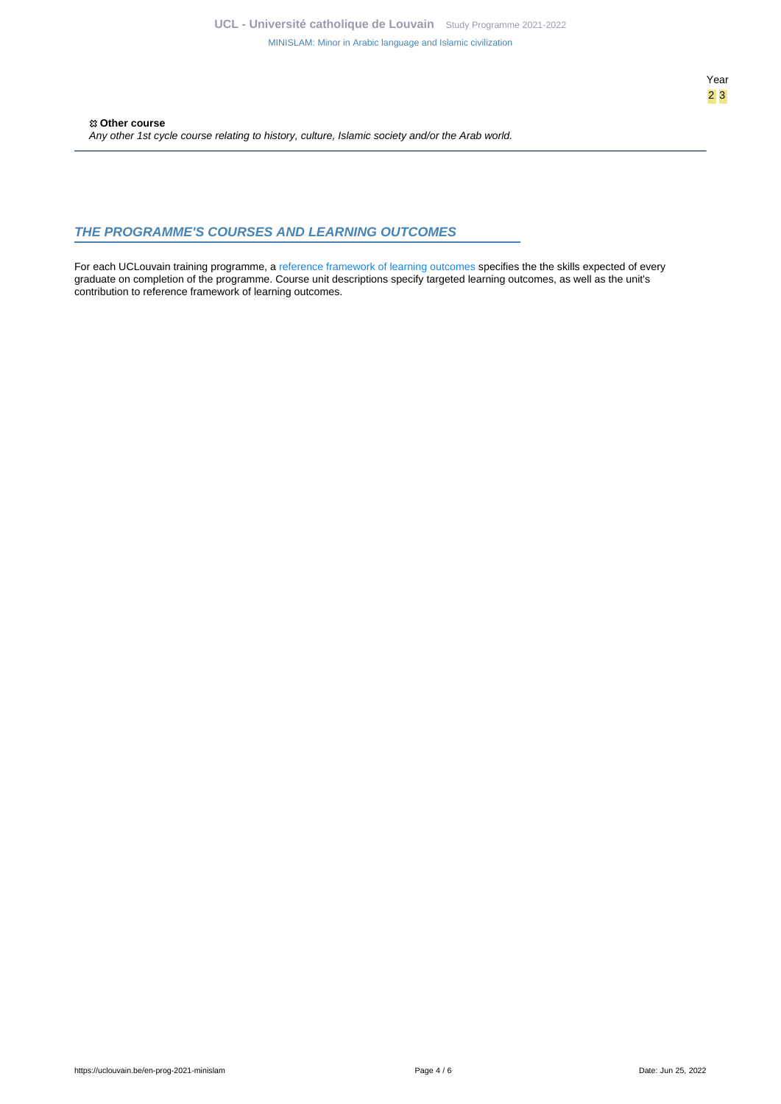#### <span id="page-3-0"></span>**THE PROGRAMME'S COURSES AND LEARNING OUTCOMES**

For each UCLouvain training programme, a [reference framework of learning outcomes](https://uclouvain.be/en-prog-2021-minislam-competences_et_acquis.html) specifies the the skills expected of every graduate on completion of the programme. Course unit descriptions specify targeted learning outcomes, as well as the unit's contribution to reference framework of learning outcomes.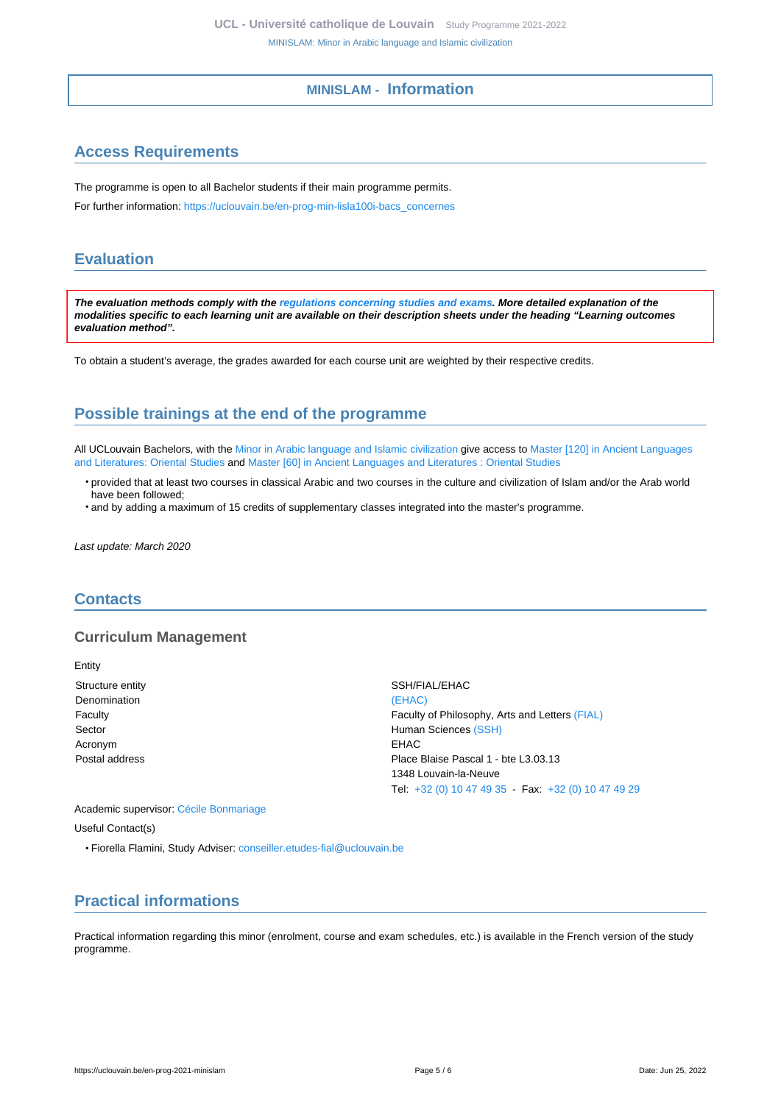#### **MINISLAM - Information**

# <span id="page-4-1"></span><span id="page-4-0"></span>**Access Requirements**

The programme is open to all Bachelor students if their main programme permits.

For further information: [https://uclouvain.be/en-prog-min-lisla100i-bacs\\_concernes](https://uclouvain.be/en-prog-min-lisla100i-bacs_concernes)

### <span id="page-4-2"></span>**Evaluation**

**The evaluation methods comply with the [regulations concerning studies and exams](https://uclouvain.be/fr/decouvrir/rgee.html). More detailed explanation of the modalities specific to each learning unit are available on their description sheets under the heading "Learning outcomes evaluation method".**

To obtain a student's average, the grades awarded for each course unit are weighted by their respective credits.

# <span id="page-4-3"></span>**Possible trainings at the end of the programme**

All UCLouvain Bachelors, with the [Minor in Arabic language and Islamic civilization](https://uclouvain.be/en-prog-2021-minislam) give access to [Master \[120\] in Ancient Languages](https://uclouvain.be/en-prog-2021-hori2m) [and Literatures: Oriental Studies](https://uclouvain.be/en-prog-2021-hori2m) and [Master \[60\] in Ancient Languages and Literatures : Oriental Studies](https://uclouvain.be/en-prog-2021-hori2m1)

- provided that at least two courses in classical Arabic and two courses in the culture and civilization of Islam and/or the Arab world have been followed;
- and by adding a maximum of 15 credits of supplementary classes integrated into the master's programme.

Last update: March 2020

### <span id="page-4-4"></span>**Contacts**

#### **Curriculum Management**

Entity Structure entity SSH/FIAL/EHAC Denomination [\(EHAC\)](https://uclouvain.be/repertoires/entites/ehac) Acronym EHAC

Faculty Faculty of Philosophy, Arts and Letters [\(FIAL\)](https://uclouvain.be/repertoires/entites/fial) Sector **Sector** According to the Music Sector **Human Sciences** [\(SSH\)](https://uclouvain.be/repertoires/entites/ssh) Postal address **Pascal 1** - bte L3.03.13 1348 Louvain-la-Neuve Tel: [+32 \(0\) 10 47 49 35](https://uclouvain.be/tel:+3210474935) - Fax: [+32 \(0\) 10 47 49 29](https://uclouvain.be/tel:+3210474929)

Academic supervisor: [Cécile Bonmariage](https://uclouvain.be/repertoires/cecile.bonmariage) Useful Contact(s)

• Fiorella Flamini, Study Adviser: [conseiller.etudes-fial@uclouvain.be](https://uclouvain.be/mailto:conseiller.etudes-fial@uclouvain.be)

# <span id="page-4-5"></span>**Practical informations**

Practical information regarding this minor (enrolment, course and exam schedules, etc.) is available in the French version of the study programme.